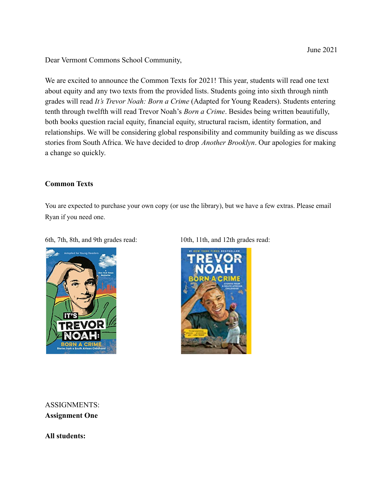Dear Vermont Commons School Community,

We are excited to announce the Common Texts for 2021! This year, students will read one text about equity and any two texts from the provided lists. Students going into sixth through ninth grades will read *It's Trevor Noah: Born a Crime* (Adapted for Young Readers). Students entering tenth through twelfth will read Trevor Noah's *Born a Crime*. Besides being written beautifully, both books question racial equity, financial equity, structural racism, identity formation, and relationships. We will be considering global responsibility and community building as we discuss stories from South Africa. We have decided to drop *Another Brooklyn*. Our apologies for making a change so quickly.

## **Common Texts**

You are expected to purchase your own copy (or use the library), but we have a few extras. Please email Ryan if you need one.

6th, 7th, 8th, and 9th grades read: 10th, 11th, and 12th grades read:





ASSIGNMENTS: **Assignment One**

**All students:**